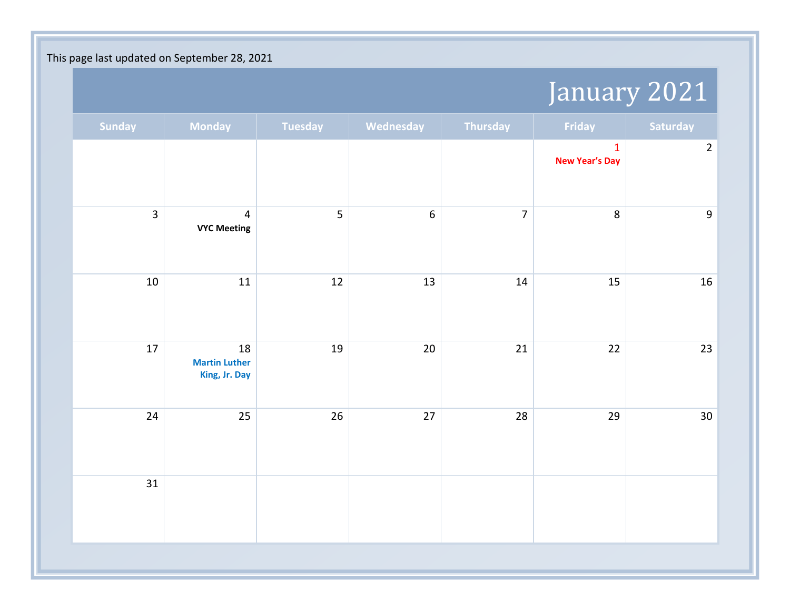## January 2021

| Saturday         | Friday                                | Thursday       | Wednesday        | Tuesday | Monday                                      | <b>Sunday</b> |
|------------------|---------------------------------------|----------------|------------------|---------|---------------------------------------------|---------------|
| $\mathbf 2$      | $\mathbf{1}$<br><b>New Year's Day</b> |                |                  |         |                                             |               |
| $\boldsymbol{9}$ | 8                                     | $\overline{7}$ | $\boldsymbol{6}$ | 5       | $\overline{4}$<br><b>VYC Meeting</b>        | 3             |
| $16\,$           | 15                                    | $14\,$         | 13               | 12      | 11                                          | $10\,$        |
| 23               | 22                                    | 21             | $20\,$           | 19      | 18<br><b>Martin Luther</b><br>King, Jr. Day | $17\,$        |
| $30\,$           | 29                                    | 28             | $27$             | 26      | 25                                          | 24            |
|                  |                                       |                |                  |         |                                             | 31            |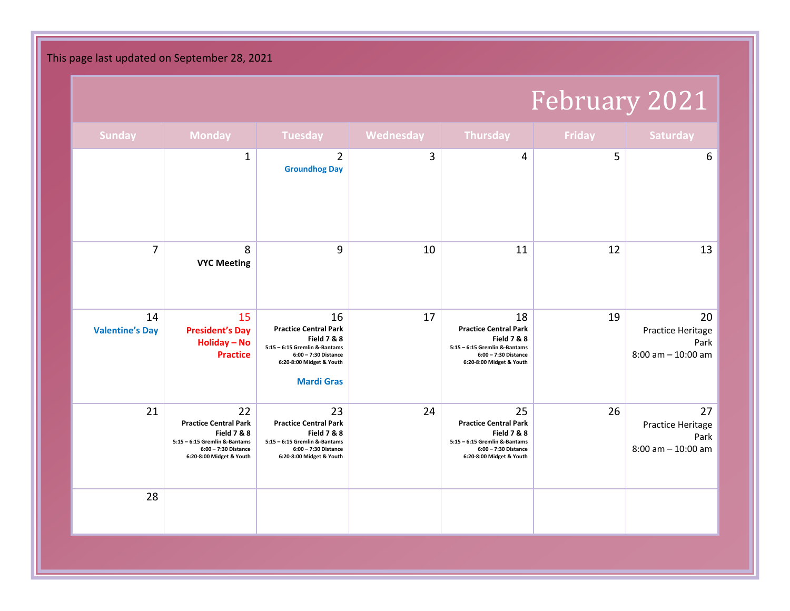# February 2021

| <b>Sunday</b>                | <b>Monday</b>                                                                                                                                     | Tuesday                                                                                                                                                                | Wednesday | Thursday                                                                                                                                          | Friday | <b>Saturday</b>                                          |
|------------------------------|---------------------------------------------------------------------------------------------------------------------------------------------------|------------------------------------------------------------------------------------------------------------------------------------------------------------------------|-----------|---------------------------------------------------------------------------------------------------------------------------------------------------|--------|----------------------------------------------------------|
|                              | $\mathbf 1$                                                                                                                                       | $\overline{2}$<br><b>Groundhog Day</b>                                                                                                                                 | 3         | 4                                                                                                                                                 | 5      | 6                                                        |
| 7                            | 8<br><b>VYC Meeting</b>                                                                                                                           | $9$                                                                                                                                                                    | 10        | 11                                                                                                                                                | 12     | 13                                                       |
| 14<br><b>Valentine's Day</b> | 15<br><b>President's Day</b><br>Holiday - No<br><b>Practice</b>                                                                                   | 16<br><b>Practice Central Park</b><br><b>Field 7 &amp; 8</b><br>5:15 - 6:15 Gremlin &-Bantams<br>6:00 - 7:30 Distance<br>6:20-8:00 Midget & Youth<br><b>Mardi Gras</b> | 17        | 18<br><b>Practice Central Park</b><br><b>Field 7 &amp; 8</b><br>5:15 - 6:15 Gremlin &-Bantams<br>6:00 - 7:30 Distance<br>6:20-8:00 Midget & Youth | 19     | 20<br>Practice Heritage<br>Park<br>$8:00$ am $-10:00$ am |
| 21                           | 22<br><b>Practice Central Park</b><br><b>Field 7 &amp; 8</b><br>5:15 - 6:15 Gremlin &-Bantams<br>6:00 - 7:30 Distance<br>6:20-8:00 Midget & Youth | 23<br><b>Practice Central Park</b><br><b>Field 7 &amp; 8</b><br>5:15 - 6:15 Gremlin &-Bantams<br>6:00 - 7:30 Distance<br>6:20-8:00 Midget & Youth                      | 24        | 25<br><b>Practice Central Park</b><br><b>Field 7 &amp; 8</b><br>5:15 - 6:15 Gremlin &-Bantams<br>6:00 - 7:30 Distance<br>6:20-8:00 Midget & Youth | 26     | 27<br>Practice Heritage<br>Park<br>$8:00$ am $-10:00$ am |
| 28                           |                                                                                                                                                   |                                                                                                                                                                        |           |                                                                                                                                                   |        |                                                          |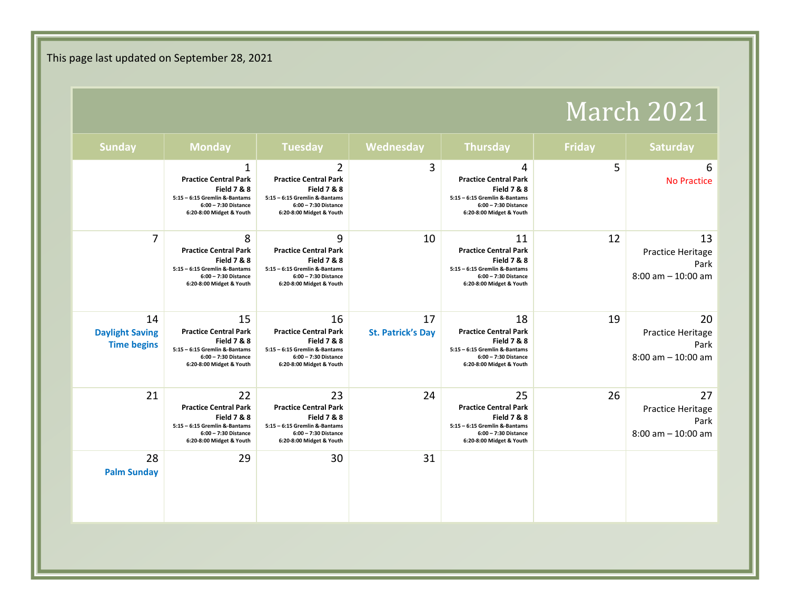### March 2021

| Saturday                                   | <b>Friday</b> | <b>Thursday</b>                                                                                                                                   | Wednesday                      | <b>Tuesday</b>                                                                                                                                                | <b>Monday</b>                                                                                                                                               | <b>Sunday</b>                                      |
|--------------------------------------------|---------------|---------------------------------------------------------------------------------------------------------------------------------------------------|--------------------------------|---------------------------------------------------------------------------------------------------------------------------------------------------------------|-------------------------------------------------------------------------------------------------------------------------------------------------------------|----------------------------------------------------|
| <b>No Practice</b>                         | 5             | 4<br><b>Practice Central Park</b><br><b>Field 7 &amp; 8</b><br>5:15 - 6:15 Gremlin &-Bantams<br>6:00 - 7:30 Distance<br>6:20-8:00 Midget & Youth  | 3                              | $\overline{2}$<br><b>Practice Central Park</b><br><b>Field 7 &amp; 8</b><br>5:15 - 6:15 Gremlin &-Bantams<br>6:00 - 7:30 Distance<br>6:20-8:00 Midget & Youth | $\mathbf{1}$<br><b>Practice Central Park</b><br><b>Field 7 &amp; 8</b><br>5:15 - 6:15 Gremlin &-Bantams<br>6:00 - 7:30 Distance<br>6:20-8:00 Midget & Youth |                                                    |
| Practice Heritage<br>$8:00$ am $-10:00$ am | 12            | 11<br><b>Practice Central Park</b><br><b>Field 7 &amp; 8</b><br>5:15 - 6:15 Gremlin &-Bantams<br>6:00 - 7:30 Distance<br>6:20-8:00 Midget & Youth | 10                             | 9<br><b>Practice Central Park</b><br><b>Field 7 &amp; 8</b><br>5:15 - 6:15 Gremlin &-Bantams<br>6:00 - 7:30 Distance<br>6:20-8:00 Midget & Youth              | 8<br><b>Practice Central Park</b><br><b>Field 7 &amp; 8</b><br>5:15 - 6:15 Gremlin &-Bantams<br>6:00 - 7:30 Distance<br>6:20-8:00 Midget & Youth            | $\overline{7}$                                     |
| Practice Heritage<br>$8:00$ am $-10:00$ am | 19            | 18<br><b>Practice Central Park</b><br><b>Field 7 &amp; 8</b><br>5:15 - 6:15 Gremlin &-Bantams<br>6:00 - 7:30 Distance<br>6:20-8:00 Midget & Youth | 17<br><b>St. Patrick's Day</b> | 16<br><b>Practice Central Park</b><br><b>Field 7 &amp; 8</b><br>5:15 - 6:15 Gremlin &-Bantams<br>6:00 - 7:30 Distance<br>6:20-8:00 Midget & Youth             | 15<br><b>Practice Central Park</b><br><b>Field 7 &amp; 8</b><br>5:15 - 6:15 Gremlin &-Bantams<br>6:00 - 7:30 Distance<br>6:20-8:00 Midget & Youth           | 14<br><b>Daylight Saving</b><br><b>Time begins</b> |
| Practice Heritage<br>$8:00$ am $-10:00$ am | 26            | 25<br><b>Practice Central Park</b><br><b>Field 7 &amp; 8</b><br>5:15 - 6:15 Gremlin &-Bantams<br>6:00 - 7:30 Distance<br>6:20-8:00 Midget & Youth | 24                             | 23<br><b>Practice Central Park</b><br><b>Field 7 &amp; 8</b><br>5:15 - 6:15 Gremlin &-Bantams<br>6:00 - 7:30 Distance<br>6:20-8:00 Midget & Youth             | 22<br><b>Practice Central Park</b><br><b>Field 7 &amp; 8</b><br>5:15 - 6:15 Gremlin &-Bantams<br>6:00 - 7:30 Distance<br>6:20-8:00 Midget & Youth           | 21                                                 |
|                                            |               |                                                                                                                                                   | 31                             | 30                                                                                                                                                            | 29                                                                                                                                                          | 28<br><b>Palm Sunday</b>                           |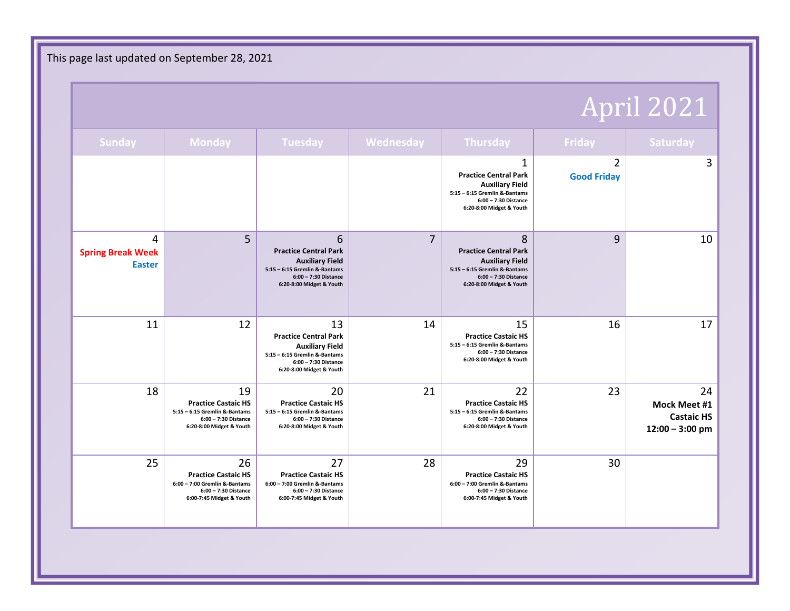### April 2021

| <b>Sunday</b>                                  | <b>Monday</b>                                                                                                         | <b>Tuesday</b>                                                                                                                                    | Wednesday      | Thursday                                                                                                                                         | Friday                               | Saturday                                                            |
|------------------------------------------------|-----------------------------------------------------------------------------------------------------------------------|---------------------------------------------------------------------------------------------------------------------------------------------------|----------------|--------------------------------------------------------------------------------------------------------------------------------------------------|--------------------------------------|---------------------------------------------------------------------|
|                                                |                                                                                                                       |                                                                                                                                                   |                | 1<br><b>Practice Central Park</b><br><b>Auxiliary Field</b><br>5:15 - 6:15 Gremlin &-Bantams<br>6:00 - 7:30 Distance<br>6:20-8:00 Midget & Youth | $\overline{2}$<br><b>Good Friday</b> | 3                                                                   |
| 4<br><b>Spring Break Week</b><br><b>Easter</b> | 5                                                                                                                     | 6<br><b>Practice Central Park</b><br><b>Auxiliary Field</b><br>5:15 - 6:15 Gremlin &-Bantams<br>6:00 - 7:30 Distance<br>6:20-8:00 Midget & Youth  | $\overline{7}$ | 8<br><b>Practice Central Park</b><br><b>Auxiliary Field</b><br>5:15 - 6:15 Gremlin &-Bantams<br>6:00 - 7:30 Distance<br>6:20-8:00 Midget & Youth | 9                                    | 10                                                                  |
| 11                                             | 12                                                                                                                    | 13<br><b>Practice Central Park</b><br><b>Auxiliary Field</b><br>5:15 - 6:15 Gremlin &-Bantams<br>6:00 - 7:30 Distance<br>6:20-8:00 Midget & Youth | 14             | 15<br><b>Practice Castaic HS</b><br>5:15 - 6:15 Gremlin &-Bantams<br>6:00 - 7:30 Distance<br>6:20-8:00 Midget & Youth                            | 16                                   | 17                                                                  |
| 18                                             | 19<br><b>Practice Castaic HS</b><br>5:15 - 6:15 Gremlin &-Bantams<br>6:00 - 7:30 Distance<br>6:20-8:00 Midget & Youth | 20<br><b>Practice Castaic HS</b><br>5:15 - 6:15 Gremlin &-Bantams<br>6:00 - 7:30 Distance<br>6:20-8:00 Midget & Youth                             | 21             | 22<br><b>Practice Castaic HS</b><br>5:15 - 6:15 Gremlin &-Bantams<br>6:00 - 7:30 Distance<br>6:20-8:00 Midget & Youth                            | 23                                   | 24<br><b>Mock Meet #1</b><br><b>Castaic HS</b><br>$12:00 - 3:00$ pm |
| 25                                             | 26<br><b>Practice Castaic HS</b><br>6:00 - 7:00 Gremlin &-Bantams<br>6:00 - 7:30 Distance<br>6:00-7:45 Midget & Youth | 27<br><b>Practice Castaic HS</b><br>$6:00 - 7:00$ Gremlin &-Bantams<br>6:00 - 7:30 Distance<br>6:00-7:45 Midget & Youth                           | 28             | 29<br><b>Practice Castaic HS</b><br>6:00 - 7:00 Gremlin &-Bantams<br>6:00 - 7:30 Distance<br>6:00-7:45 Midget & Youth                            | 30                                   |                                                                     |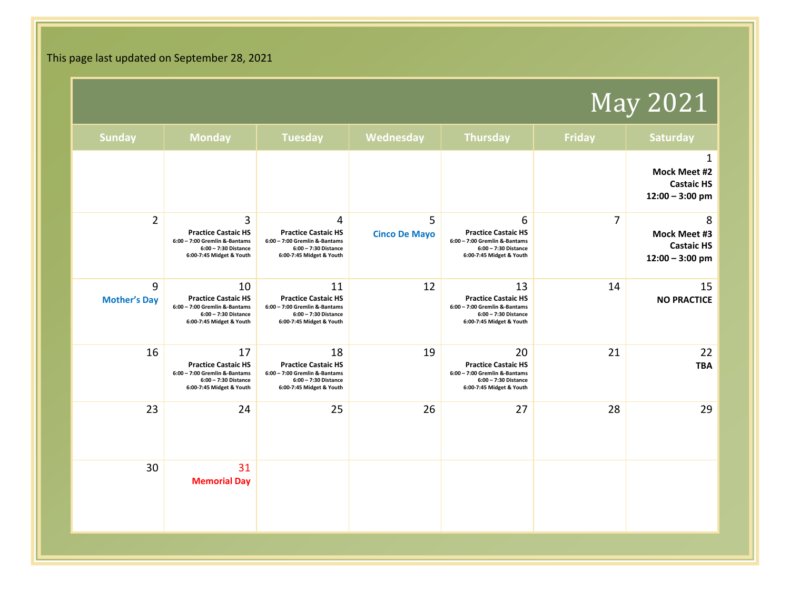### May 2021

| <b>Saturday</b>                                        | <b>Friday</b>  | <b>Thursday</b>                                                                                                       | Wednesday                 | <b>Tuesday</b>                                                                                                        | <b>Monday</b>                                                                                                           | <b>Sunday</b>            |
|--------------------------------------------------------|----------------|-----------------------------------------------------------------------------------------------------------------------|---------------------------|-----------------------------------------------------------------------------------------------------------------------|-------------------------------------------------------------------------------------------------------------------------|--------------------------|
| Mock Meet #2<br><b>Castaic HS</b><br>$12:00 - 3:00$ pm |                |                                                                                                                       |                           |                                                                                                                       |                                                                                                                         |                          |
| Mock Meet #3<br><b>Castaic HS</b><br>$12:00 - 3:00$ pm | $\overline{7}$ | 6<br><b>Practice Castaic HS</b><br>6:00 - 7:00 Gremlin &-Bantams<br>6:00 - 7:30 Distance<br>6:00-7:45 Midget & Youth  | 5<br><b>Cinco De Mayo</b> | 4<br><b>Practice Castaic HS</b><br>6:00 - 7:00 Gremlin &-Bantams<br>6:00 - 7:30 Distance<br>6:00-7:45 Midget & Youth  | 3<br><b>Practice Castaic HS</b><br>6:00 - 7:00 Gremlin &-Bantams<br>6:00 - 7:30 Distance<br>6:00-7:45 Midget & Youth    | $\overline{2}$           |
| <b>NO PRACTICE</b>                                     | 14             | 13<br><b>Practice Castaic HS</b><br>6:00 - 7:00 Gremlin &-Bantams<br>6:00 - 7:30 Distance<br>6:00-7:45 Midget & Youth | 12                        | 11<br><b>Practice Castaic HS</b><br>6:00 - 7:00 Gremlin &-Bantams<br>6:00 - 7:30 Distance<br>6:00-7:45 Midget & Youth | 10<br><b>Practice Castaic HS</b><br>$6:00 - 7:00$ Gremlin &-Bantams<br>6:00 - 7:30 Distance<br>6:00-7:45 Midget & Youth | 9<br><b>Mother's Day</b> |
|                                                        | 21             | 20<br><b>Practice Castaic HS</b><br>6:00 - 7:00 Gremlin &-Bantams<br>6:00 - 7:30 Distance<br>6:00-7:45 Midget & Youth | 19                        | 18<br><b>Practice Castaic HS</b><br>6:00 - 7:00 Gremlin &-Bantams<br>6:00 - 7:30 Distance<br>6:00-7:45 Midget & Youth | 17<br><b>Practice Castaic HS</b><br>6:00 - 7:00 Gremlin &-Bantams<br>6:00 - 7:30 Distance<br>6:00-7:45 Midget & Youth   | 16                       |
|                                                        | 28             | 27                                                                                                                    | 26                        | 25                                                                                                                    | 24                                                                                                                      | 23                       |
|                                                        |                |                                                                                                                       |                           |                                                                                                                       | 31<br><b>Memorial Day</b>                                                                                               | 30                       |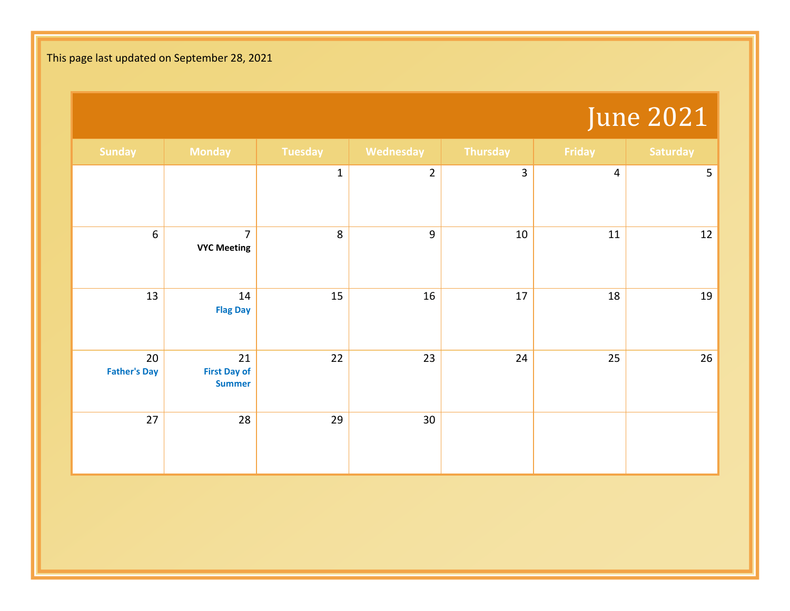### June 2021

| <b>Sunday</b>             | <b>Monday</b>                              | <b>Tuesday</b> | Wednesday      | Thursday       | Friday         | Saturday       |
|---------------------------|--------------------------------------------|----------------|----------------|----------------|----------------|----------------|
|                           |                                            | $\mathbf{1}$   | $\overline{2}$ | $\overline{3}$ | $\overline{4}$ | $\overline{5}$ |
| $\boldsymbol{6}$          | $\overline{7}$<br><b>VYC Meeting</b>       | $\,8\,$        | $\overline{9}$ | 10             | $11\,$         | 12             |
| 13                        | 14<br><b>Flag Day</b>                      | 15             | 16             | 17             | 18             | 19             |
| 20<br><b>Father's Day</b> | 21<br><b>First Day of</b><br><b>Summer</b> | 22             | 23             | 24             | 25             | 26             |
| 27                        | 28                                         | 29             | 30             |                |                |                |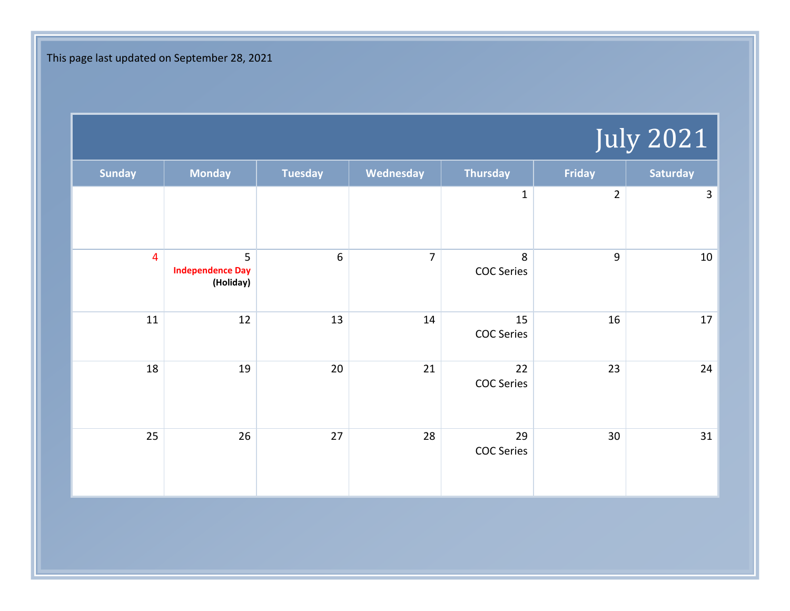# July 2021

| <b>Sunday</b>           | <b>Monday</b>                             | <b>Tuesday</b>   | Wednesday      | <b>Thursday</b>              | Friday         | Saturday |
|-------------------------|-------------------------------------------|------------------|----------------|------------------------------|----------------|----------|
|                         |                                           |                  |                | $\mathbf 1$                  | $\overline{2}$ | 3        |
| $\overline{\mathbf{4}}$ | 5<br><b>Independence Day</b><br>(Holiday) | $\boldsymbol{6}$ | $\overline{7}$ | $\,8\,$<br><b>COC Series</b> | $\overline{9}$ | 10       |
| 11                      | 12                                        | 13               | 14             | 15<br><b>COC Series</b>      | 16             | 17       |
| 18                      | 19                                        | 20               | 21             | 22<br><b>COC Series</b>      | 23             | 24       |
| 25                      | 26                                        | 27               | 28             | 29<br><b>COC Series</b>      | 30             | 31       |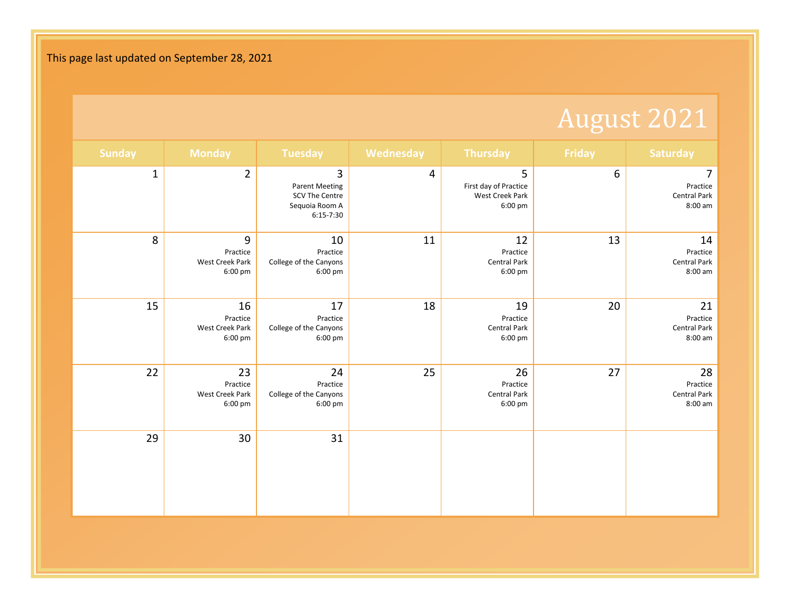# August 2021

| <b>Sunday</b> | <b>Monday</b>                                | <b>Tuesday</b>                                                                | Wednesday      | <b>Thursday</b>                                          | Friday | <b>Saturday</b>                                  |
|---------------|----------------------------------------------|-------------------------------------------------------------------------------|----------------|----------------------------------------------------------|--------|--------------------------------------------------|
| $\mathbf 1$   | $\overline{2}$                               | 3<br><b>Parent Meeting</b><br>SCV The Centre<br>Sequoia Room A<br>$6:15-7:30$ | $\overline{4}$ | 5<br>First day of Practice<br>West Creek Park<br>6:00 pm | 6      | 7<br>Practice<br><b>Central Park</b><br>8:00 am  |
| 8             | 9<br>Practice<br>West Creek Park<br>6:00 pm  | $10\,$<br>Practice<br>College of the Canyons<br>$6:00 \text{ pm}$             | 11             | 12<br>Practice<br><b>Central Park</b><br>6:00 pm         | 13     | 14<br>Practice<br><b>Central Park</b><br>8:00 am |
| 15            | 16<br>Practice<br>West Creek Park<br>6:00 pm | 17<br>Practice<br>College of the Canyons<br>$6:00 \text{ pm}$                 | 18             | 19<br>Practice<br><b>Central Park</b><br>6:00 pm         | 20     | 21<br>Practice<br>Central Park<br>8:00 am        |
| 22            | 23<br>Practice<br>West Creek Park<br>6:00 pm | 24<br>Practice<br>College of the Canyons<br>6:00 pm                           | 25             | 26<br>Practice<br>Central Park<br>6:00 pm                | 27     | 28<br>Practice<br><b>Central Park</b><br>8:00 am |
| 29            | 30                                           | 31                                                                            |                |                                                          |        |                                                  |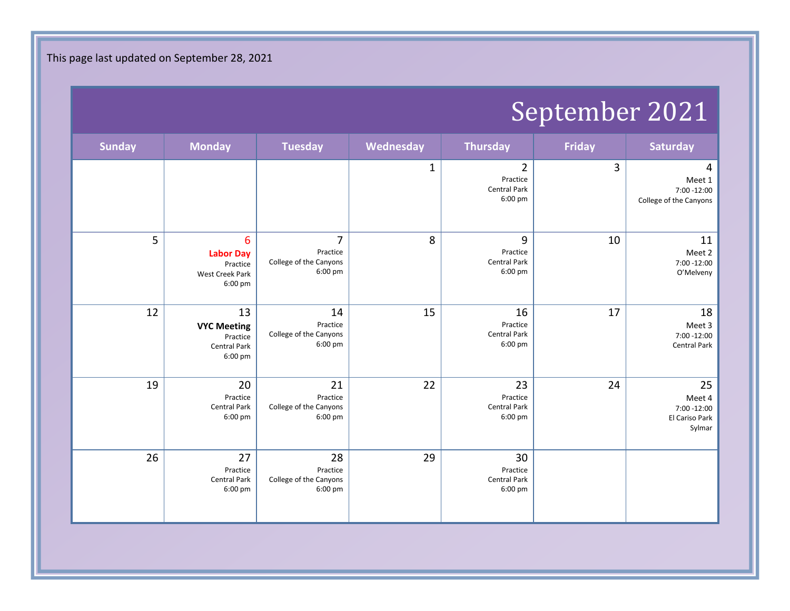## September 2021

| <b>Sunday</b> | <b>Monday</b>                                                                   | <b>Tuesday</b>                                        | Wednesday   | <b>Thursday</b>                                              | <b>Friday</b> | <b>Saturday</b>                                         |
|---------------|---------------------------------------------------------------------------------|-------------------------------------------------------|-------------|--------------------------------------------------------------|---------------|---------------------------------------------------------|
|               |                                                                                 |                                                       | $\mathbf 1$ | $\overline{2}$<br>Practice<br><b>Central Park</b><br>6:00 pm | 3             | 4<br>Meet 1<br>7:00 -12:00<br>College of the Canyons    |
| 5             | $6\phantom{1}6$<br><b>Labor Day</b><br>Practice<br>West Creek Park<br>$6:00$ pm | 7<br>Practice<br>College of the Canyons<br>6:00 pm    | 8           | 9<br>Practice<br><b>Central Park</b><br>6:00 pm              | 10            | 11<br>Meet 2<br>7:00 -12:00<br>O'Melveny                |
| 12            | 13<br><b>VYC Meeting</b><br>Practice<br>Central Park<br>6:00 pm                 | 14<br>Practice<br>College of the Canyons<br>$6:00$ pm | 15          | 16<br>Practice<br><b>Central Park</b><br>6:00 pm             | 17            | 18<br>Meet 3<br>7:00 -12:00<br>Central Park             |
| 19            | 20<br>Practice<br>Central Park<br>6:00 pm                                       | 21<br>Practice<br>College of the Canyons<br>$6:00$ pm | 22          | 23<br>Practice<br>Central Park<br>6:00 pm                    | 24            | 25<br>Meet 4<br>7:00 -12:00<br>El Cariso Park<br>Sylmar |
| 26            | 27<br>Practice<br>Central Park<br>6:00 pm                                       | 28<br>Practice<br>College of the Canyons<br>$6:00$ pm | 29          | 30<br>Practice<br>Central Park<br>6:00 pm                    |               |                                                         |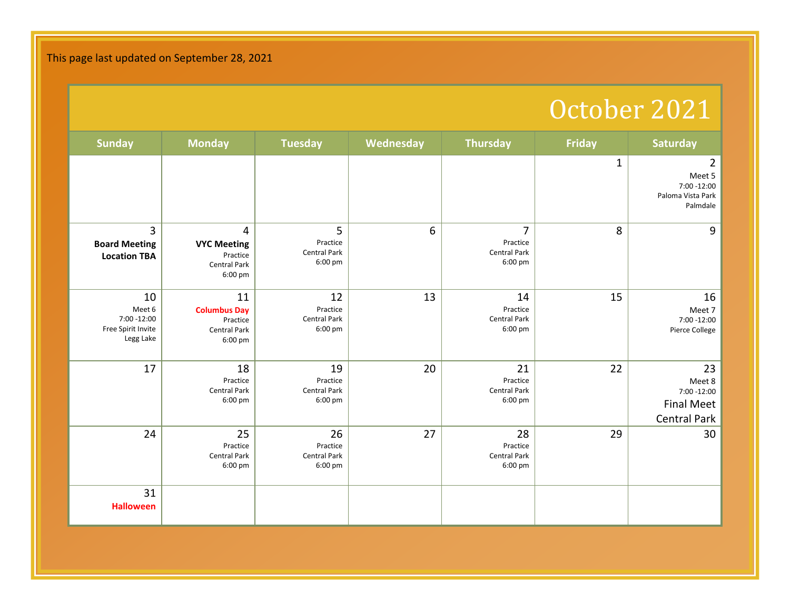#### October 2021

| <b>Sunday</b>                                                  | <b>Monday</b>                                                           | <b>Tuesday</b>                                   | Wednesday | <b>Thursday</b>                                  | <b>Friday</b> | <b>Saturday</b>                                                          |
|----------------------------------------------------------------|-------------------------------------------------------------------------|--------------------------------------------------|-----------|--------------------------------------------------|---------------|--------------------------------------------------------------------------|
|                                                                |                                                                         |                                                  |           |                                                  | $\mathbf{1}$  | $\overline{2}$<br>Meet 5<br>7:00 -12:00<br>Paloma Vista Park<br>Palmdale |
| 3<br><b>Board Meeting</b><br><b>Location TBA</b>               | 4<br><b>VYC Meeting</b><br>Practice<br><b>Central Park</b><br>6:00 pm   | 5<br>Practice<br><b>Central Park</b><br>6:00 pm  | 6         | 7<br>Practice<br><b>Central Park</b><br>6:00 pm  | 8             | 9                                                                        |
| 10<br>Meet 6<br>7:00 -12:00<br>Free Spirit Invite<br>Legg Lake | 11<br><b>Columbus Day</b><br>Practice<br><b>Central Park</b><br>6:00 pm | 12<br>Practice<br><b>Central Park</b><br>6:00 pm | 13        | 14<br>Practice<br><b>Central Park</b><br>6:00 pm | 15            | 16<br>Meet 7<br>7:00 -12:00<br>Pierce College                            |
| 17                                                             | 18<br>Practice<br><b>Central Park</b><br>6:00 pm                        | 19<br>Practice<br><b>Central Park</b><br>6:00 pm | 20        | 21<br>Practice<br>Central Park<br>6:00 pm        | 22            | 23<br>Meet 8<br>$7:00 - 12:00$<br><b>Final Meet</b><br>Central Park      |
| 24                                                             | 25<br>Practice<br><b>Central Park</b><br>6:00 pm                        | 26<br>Practice<br>Central Park<br>6:00 pm        | 27        | 28<br>Practice<br><b>Central Park</b><br>6:00 pm | 29            | 30                                                                       |
| 31<br><b>Halloween</b>                                         |                                                                         |                                                  |           |                                                  |               |                                                                          |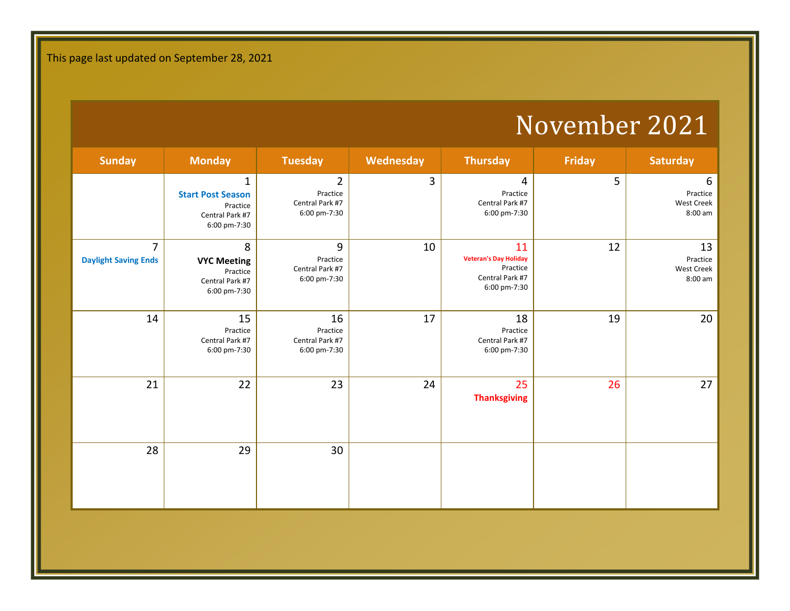### November 2021

| <b>Sunday</b>                                 | <b>Monday</b>                                                                           | <b>Tuesday</b>                                                | Wednesday | <b>Thursday</b>                                                                   | <b>Friday</b> | <b>Saturday</b>                                |
|-----------------------------------------------|-----------------------------------------------------------------------------------------|---------------------------------------------------------------|-----------|-----------------------------------------------------------------------------------|---------------|------------------------------------------------|
|                                               | $\mathbf{1}$<br><b>Start Post Season</b><br>Practice<br>Central Park #7<br>6:00 pm-7:30 | $\overline{2}$<br>Practice<br>Central Park #7<br>6:00 pm-7:30 | 3         | 4<br>Practice<br>Central Park #7<br>6:00 pm-7:30                                  | 5             | 6<br>Practice<br>West Creek<br>8:00 am         |
| $\overline{7}$<br><b>Daylight Saving Ends</b> | 8<br><b>VYC Meeting</b><br>Practice<br>Central Park #7<br>6:00 pm-7:30                  | 9<br>Practice<br>Central Park #7<br>6:00 pm-7:30              | 10        | 11<br><b>Veteran's Day Holiday</b><br>Practice<br>Central Park #7<br>6:00 pm-7:30 | 12            | 13<br>Practice<br><b>West Creek</b><br>8:00 am |
| 14                                            | 15<br>Practice<br>Central Park #7<br>6:00 pm-7:30                                       | 16<br>Practice<br>Central Park #7<br>6:00 pm-7:30             | 17        | 18<br>Practice<br>Central Park #7<br>6:00 pm-7:30                                 | 19            | 20                                             |
| 21                                            | 22                                                                                      | 23                                                            | 24        | 25<br><b>Thanksgiving</b>                                                         | 26            | 27                                             |
| 28                                            | 29                                                                                      | 30                                                            |           |                                                                                   |               |                                                |